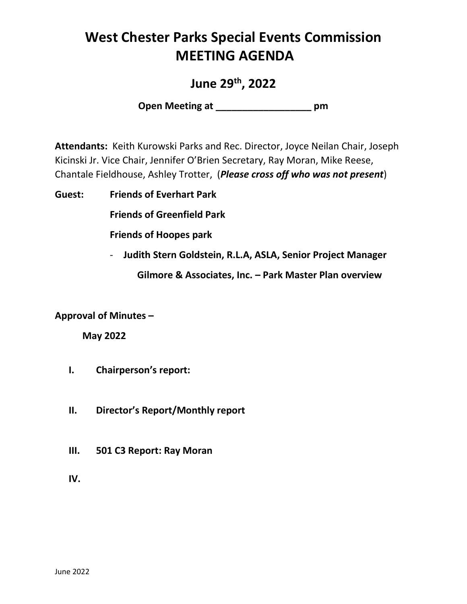# **West Chester Parks Special Events Commission MEETING AGENDA**

**June 29th, 2022**

**Open Meeting at \_\_\_\_\_\_\_\_\_\_\_\_\_\_\_\_\_\_ pm**

**Attendants:** Keith Kurowski Parks and Rec. Director, Joyce Neilan Chair, Joseph Kicinski Jr. Vice Chair, Jennifer O'Brien Secretary, Ray Moran, Mike Reese, Chantale Fieldhouse, Ashley Trotter, (*Please cross off who was not present*)

**Guest: Friends of Everhart Park**

**Friends of Greenfield Park**

**Friends of Hoopes park**

- **Judith Stern Goldstein, R.L.A, ASLA, Senior Project Manager**

**Gilmore & Associates, Inc. – Park Master Plan overview**

#### **Approval of Minutes –**

**May 2022**

- **I. Chairperson's report:**
- **II. Director's Report/Monthly report**
- **III. 501 C3 Report: Ray Moran**

**IV.**